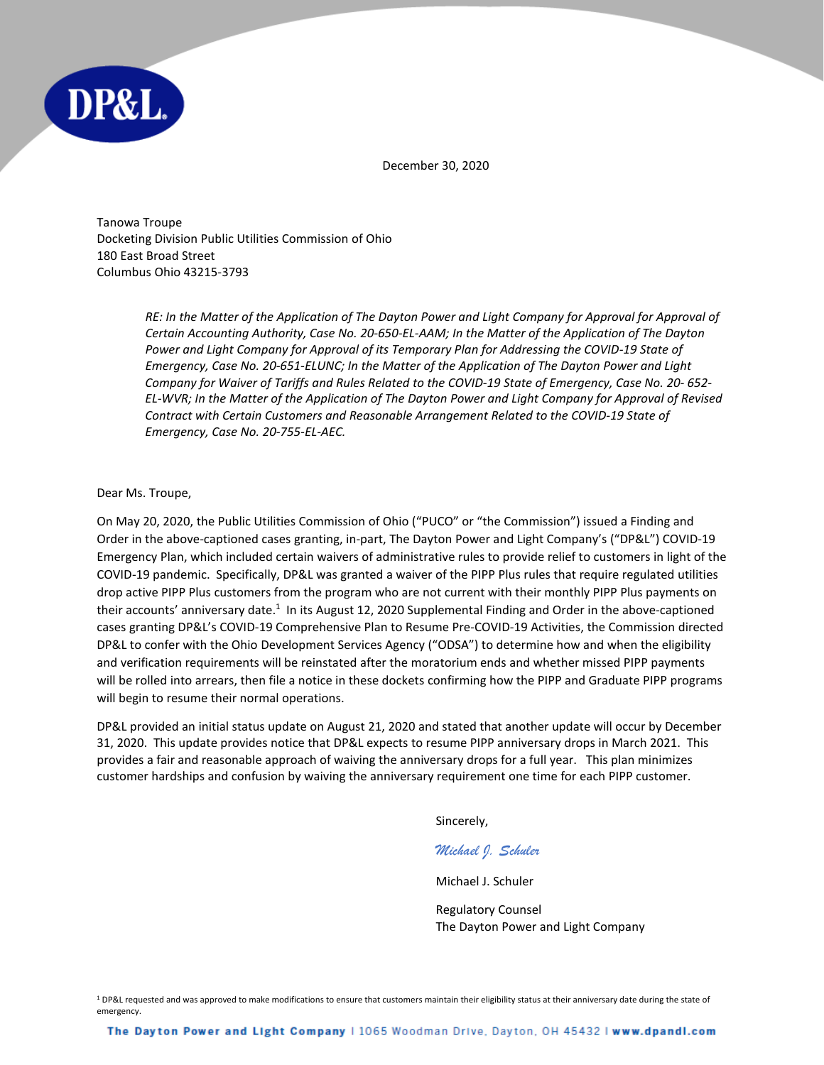

December 30, 2020

Tanowa Troupe Docketing Division Public Utilities Commission of Ohio 180 East Broad Street Columbus Ohio 43215-3793

> *RE: In the Matter of the Application of The Dayton Power and Light Company for Approval for Approval of Certain Accounting Authority, Case No. 20-650-EL-AAM; In the Matter of the Application of The Dayton Power and Light Company for Approval of its Temporary Plan for Addressing the COVID-19 State of Emergency, Case No. 20-651-ELUNC; In the Matter of the Application of The Dayton Power and Light Company for Waiver of Tariffs and Rules Related to the COVID-19 State of Emergency, Case No. 20- 652- EL-WVR; In the Matter of the Application of The Dayton Power and Light Company for Approval of Revised Contract with Certain Customers and Reasonable Arrangement Related to the COVID-19 State of Emergency, Case No. 20-755-EL-AEC.*

## Dear Ms. Troupe,

On May 20, 2020, the Public Utilities Commission of Ohio ("PUCO" or "the Commission") issued a Finding and Order in the above-captioned cases granting, in-part, The Dayton Power and Light Company's ("DP&L") COVID-19 Emergency Plan, which included certain waivers of administrative rules to provide relief to customers in light of the COVID-19 pandemic. Specifically, DP&L was granted a waiver of the PIPP Plus rules that require regulated utilities drop active PIPP Plus customers from the program who are not current with their monthly PIPP Plus payments on their accounts' anniversary date.<sup>1</sup> In its August 12, 2020 Supplemental Finding and Order in the above-captioned cases granting DP&L's COVID-19 Comprehensive Plan to Resume Pre-COVID-19 Activities, the Commission directed DP&L to confer with the Ohio Development Services Agency ("ODSA") to determine how and when the eligibility and verification requirements will be reinstated after the moratorium ends and whether missed PIPP payments will be rolled into arrears, then file a notice in these dockets confirming how the PIPP and Graduate PIPP programs will begin to resume their normal operations.

DP&L provided an initial status update on August 21, 2020 and stated that another update will occur by December 31, 2020. This update provides notice that DP&L expects to resume PIPP anniversary drops in March 2021. This provides a fair and reasonable approach of waiving the anniversary drops for a full year. This plan minimizes customer hardships and confusion by waiving the anniversary requirement one time for each PIPP customer.

Sincerely,

## *Michael J. Schuler*

Michael J. Schuler

Regulatory Counsel The Dayton Power and Light Company

<sup>1</sup> DP&L requested and was approved to make modifications to ensure that customers maintain their eligibility status at their anniversary date during the state of emergency.